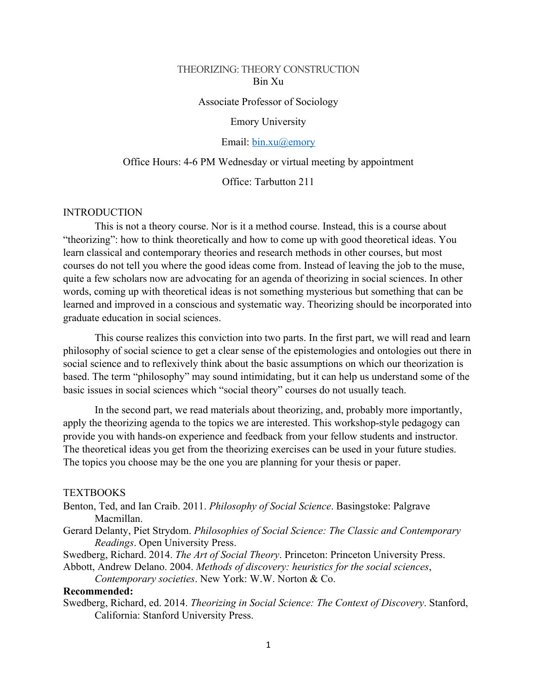#### THEORIZING: THEORY CONSTRUCTION Bin Xu

Associate Professor of Sociology

#### Emory University

#### Email: bin.xu@emory

#### Office Hours: 4-6 PM Wednesday or virtual meeting by appointment

Office: Tarbutton 211

#### INTRODUCTION

This is not a theory course. Nor is it a method course. Instead, this is a course about "theorizing": how to think theoretically and how to come up with good theoretical ideas. You learn classical and contemporary theories and research methods in other courses, but most courses do not tell you where the good ideas come from. Instead of leaving the job to the muse, quite a few scholars now are advocating for an agenda of theorizing in social sciences. In other words, coming up with theoretical ideas is not something mysterious but something that can be learned and improved in a conscious and systematic way. Theorizing should be incorporated into graduate education in social sciences.

This course realizes this conviction into two parts. In the first part, we will read and learn philosophy of social science to get a clear sense of the epistemologies and ontologies out there in social science and to reflexively think about the basic assumptions on which our theorization is based. The term "philosophy" may sound intimidating, but it can help us understand some of the basic issues in social sciences which "social theory" courses do not usually teach.

In the second part, we read materials about theorizing, and, probably more importantly, apply the theorizing agenda to the topics we are interested. This workshop-style pedagogy can provide you with hands-on experience and feedback from your fellow students and instructor. The theoretical ideas you get from the theorizing exercises can be used in your future studies. The topics you choose may be the one you are planning for your thesis or paper.

#### **TEXTBOOKS**

- Benton, Ted, and Ian Craib. 2011. *Philosophy of Social Science*. Basingstoke: Palgrave Macmillan.
- Gerard Delanty, Piet Strydom. *Philosophies of Social Science: The Classic and Contemporary Readings*. Open University Press.
- Swedberg, Richard. 2014. *The Art of Social Theory*. Princeton: Princeton University Press.

Abbott, Andrew Delano. 2004. *Methods of discovery: heuristics for the social sciences*, *Contemporary societies*. New York: W.W. Norton & Co.

#### **Recommended:**

Swedberg, Richard, ed. 2014. *Theorizing in Social Science: The Context of Discovery*. Stanford, California: Stanford University Press.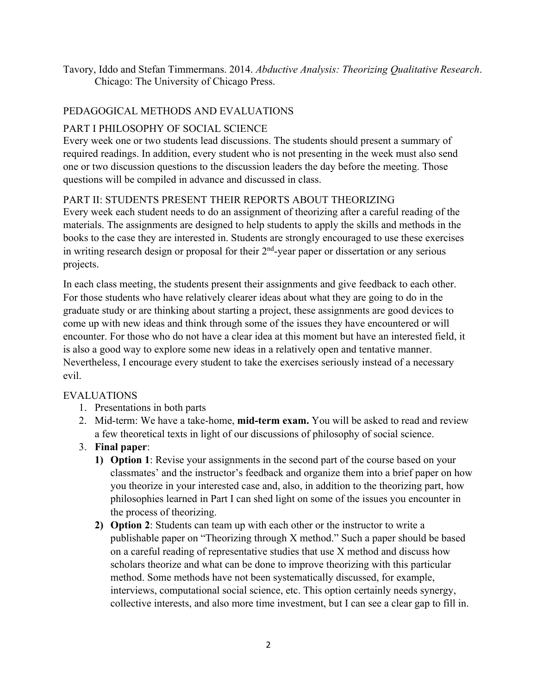Tavory, Iddo and Stefan Timmermans. 2014. *Abductive Analysis: Theorizing Qualitative Research*. Chicago: The University of Chicago Press.

### PEDAGOGICAL METHODS AND EVALUATIONS

### PART I PHILOSOPHY OF SOCIAL SCIENCE

Every week one or two students lead discussions. The students should present a summary of required readings. In addition, every student who is not presenting in the week must also send one or two discussion questions to the discussion leaders the day before the meeting. Those questions will be compiled in advance and discussed in class.

#### PART II: STUDENTS PRESENT THEIR REPORTS ABOUT THEORIZING

Every week each student needs to do an assignment of theorizing after a careful reading of the materials. The assignments are designed to help students to apply the skills and methods in the books to the case they are interested in. Students are strongly encouraged to use these exercises in writing research design or proposal for their  $2<sup>nd</sup>$ -year paper or dissertation or any serious projects.

In each class meeting, the students present their assignments and give feedback to each other. For those students who have relatively clearer ideas about what they are going to do in the graduate study or are thinking about starting a project, these assignments are good devices to come up with new ideas and think through some of the issues they have encountered or will encounter. For those who do not have a clear idea at this moment but have an interested field, it is also a good way to explore some new ideas in a relatively open and tentative manner. Nevertheless, I encourage every student to take the exercises seriously instead of a necessary evil.

#### EVALUATIONS

- 1. Presentations in both parts
- 2. Mid-term: We have a take-home, **mid-term exam.** You will be asked to read and review a few theoretical texts in light of our discussions of philosophy of social science.
- 3. **Final paper**:
	- **1) Option 1**: Revise your assignments in the second part of the course based on your classmates' and the instructor's feedback and organize them into a brief paper on how you theorize in your interested case and, also, in addition to the theorizing part, how philosophies learned in Part I can shed light on some of the issues you encounter in the process of theorizing.
	- **2) Option 2**: Students can team up with each other or the instructor to write a publishable paper on "Theorizing through X method." Such a paper should be based on a careful reading of representative studies that use X method and discuss how scholars theorize and what can be done to improve theorizing with this particular method. Some methods have not been systematically discussed, for example, interviews, computational social science, etc. This option certainly needs synergy, collective interests, and also more time investment, but I can see a clear gap to fill in.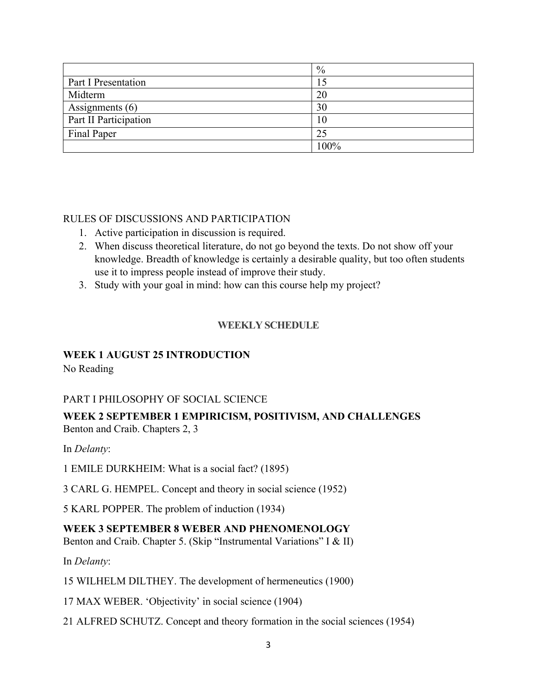|                       | $\%$ |
|-----------------------|------|
| Part I Presentation   |      |
| Midterm               | 20   |
| Assignments $(6)$     | 30   |
| Part II Participation | 10   |
| Final Paper           | 25   |
|                       | 100% |

### RULES OF DISCUSSIONS AND PARTICIPATION

- 1. Active participation in discussion is required.
- 2. When discuss theoretical literature, do not go beyond the texts. Do not show off your knowledge. Breadth of knowledge is certainly a desirable quality, but too often students use it to impress people instead of improve their study.
- 3. Study with your goal in mind: how can this course help my project?

## **WEEKLY SCHEDULE**

## **WEEK 1 AUGUST 25 INTRODUCTION**

No Reading

## PART I PHILOSOPHY OF SOCIAL SCIENCE

#### **WEEK 2 SEPTEMBER 1 EMPIRICISM, POSITIVISM, AND CHALLENGES** Benton and Craib. Chapters 2, 3

In *Delanty*:

1 EMILE DURKHEIM: What is a social fact? (1895)

3 CARL G. HEMPEL. Concept and theory in social science (1952)

5 KARL POPPER. The problem of induction (1934)

### **WEEK 3 SEPTEMBER 8 WEBER AND PHENOMENOLOGY**

Benton and Craib. Chapter 5. (Skip "Instrumental Variations" I & II)

In *Delanty*:

15 WILHELM DILTHEY. The development of hermeneutics (1900)

17 MAX WEBER. 'Objectivity' in social science (1904)

21 ALFRED SCHUTZ. Concept and theory formation in the social sciences (1954)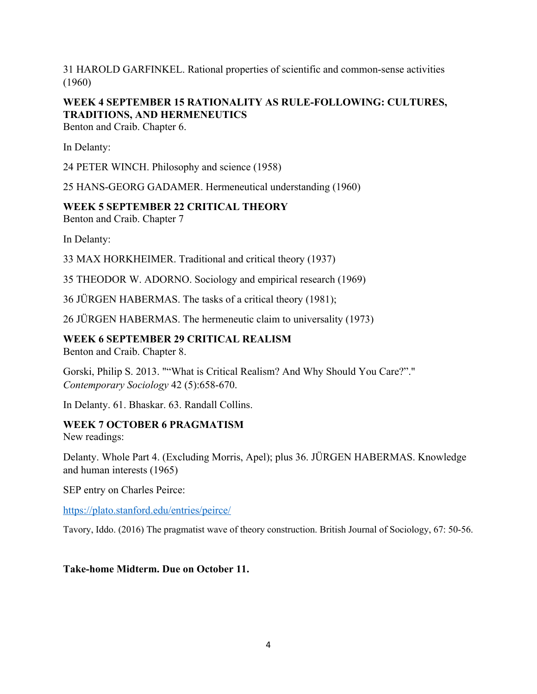31 HAROLD GARFINKEL. Rational properties of scientific and common-sense activities (1960)

# **WEEK 4 SEPTEMBER 15 RATIONALITY AS RULE-FOLLOWING: CULTURES, TRADITIONS, AND HERMENEUTICS**

Benton and Craib. Chapter 6.

In Delanty:

24 PETER WINCH. Philosophy and science (1958)

25 HANS-GEORG GADAMER. Hermeneutical understanding (1960)

### **WEEK 5 SEPTEMBER 22 CRITICAL THEORY**

Benton and Craib. Chapter 7

In Delanty:

33 MAX HORKHEIMER. Traditional and critical theory (1937)

35 THEODOR W. ADORNO. Sociology and empirical research (1969)

36 JÜRGEN HABERMAS. The tasks of a critical theory (1981);

26 JÜRGEN HABERMAS. The hermeneutic claim to universality (1973)

#### **WEEK 6 SEPTEMBER 29 CRITICAL REALISM**

Benton and Craib. Chapter 8.

Gorski, Philip S. 2013. ""What is Critical Realism? And Why Should You Care?"." *Contemporary Sociology* 42 (5):658-670.

In Delanty. 61. Bhaskar. 63. Randall Collins.

### **WEEK 7 OCTOBER 6 PRAGMATISM**

New readings:

Delanty. Whole Part 4. (Excluding Morris, Apel); plus 36. JÜRGEN HABERMAS. Knowledge and human interests (1965)

SEP entry on Charles Peirce:

https://plato.stanford.edu/entries/peirce/

Tavory, Iddo. (2016) The pragmatist wave of theory construction. British Journal of Sociology, 67: 50-56.

#### **Take-home Midterm. Due on October 11.**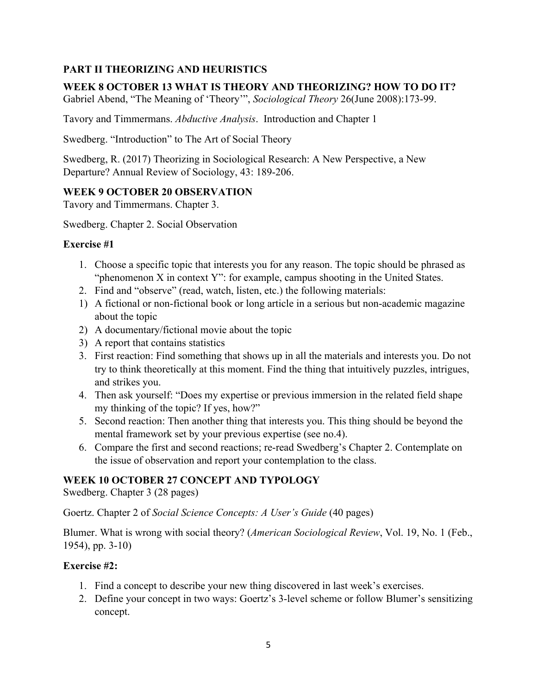## **PART II THEORIZING AND HEURISTICS**

## **WEEK 8 OCTOBER 13 WHAT IS THEORY AND THEORIZING? HOW TO DO IT?**

Gabriel Abend, "The Meaning of 'Theory'", *Sociological Theory* 26(June 2008):173-99.

Tavory and Timmermans. *Abductive Analysis*. Introduction and Chapter 1

Swedberg. "Introduction" to The Art of Social Theory

Swedberg, R. (2017) Theorizing in Sociological Research: A New Perspective, a New Departure? Annual Review of Sociology, 43: 189-206.

## **WEEK 9 OCTOBER 20 OBSERVATION**

Tavory and Timmermans. Chapter 3.

Swedberg. Chapter 2. Social Observation

## **Exercise #1**

- 1. Choose a specific topic that interests you for any reason. The topic should be phrased as "phenomenon X in context Y": for example, campus shooting in the United States.
- 2. Find and "observe" (read, watch, listen, etc.) the following materials:
- 1) A fictional or non-fictional book or long article in a serious but non-academic magazine about the topic
- 2) A documentary/fictional movie about the topic
- 3) A report that contains statistics
- 3. First reaction: Find something that shows up in all the materials and interests you. Do not try to think theoretically at this moment. Find the thing that intuitively puzzles, intrigues, and strikes you.
- 4. Then ask yourself: "Does my expertise or previous immersion in the related field shape my thinking of the topic? If yes, how?"
- 5. Second reaction: Then another thing that interests you. This thing should be beyond the mental framework set by your previous expertise (see no.4).
- 6. Compare the first and second reactions; re-read Swedberg's Chapter 2. Contemplate on the issue of observation and report your contemplation to the class.

## **WEEK 10 OCTOBER 27 CONCEPT AND TYPOLOGY**

Swedberg. Chapter 3 (28 pages)

Goertz. Chapter 2 of *Social Science Concepts: A User's Guide* (40 pages)

Blumer. What is wrong with social theory? (*American Sociological Review*, Vol. 19, No. 1 (Feb., 1954), pp. 3-10)

## **Exercise #2:**

- 1. Find a concept to describe your new thing discovered in last week's exercises.
- 2. Define your concept in two ways: Goertz's 3-level scheme or follow Blumer's sensitizing concept.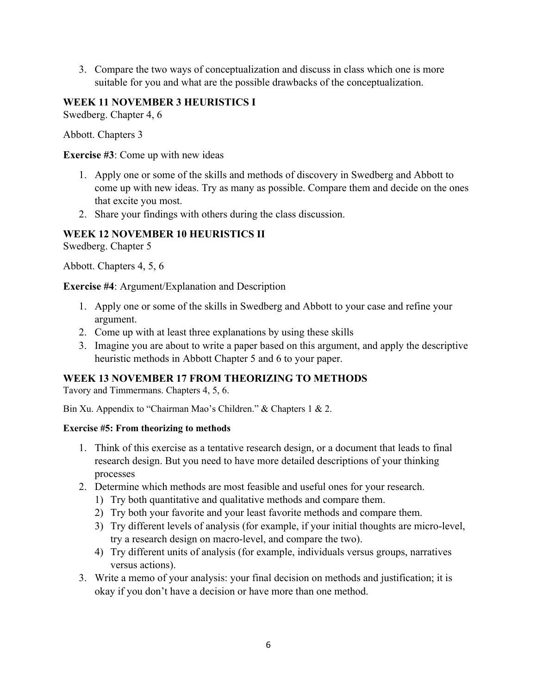3. Compare the two ways of conceptualization and discuss in class which one is more suitable for you and what are the possible drawbacks of the conceptualization.

### **WEEK 11 NOVEMBER 3 HEURISTICS I**

Swedberg. Chapter 4, 6

Abbott. Chapters 3

**Exercise #3**: Come up with new ideas

- 1. Apply one or some of the skills and methods of discovery in Swedberg and Abbott to come up with new ideas. Try as many as possible. Compare them and decide on the ones that excite you most.
- 2. Share your findings with others during the class discussion.

### **WEEK 12 NOVEMBER 10 HEURISTICS II**

Swedberg. Chapter 5

Abbott. Chapters 4, 5, 6

#### **Exercise #4**: Argument/Explanation and Description

- 1. Apply one or some of the skills in Swedberg and Abbott to your case and refine your argument.
- 2. Come up with at least three explanations by using these skills
- 3. Imagine you are about to write a paper based on this argument, and apply the descriptive heuristic methods in Abbott Chapter 5 and 6 to your paper.

## **WEEK 13 NOVEMBER 17 FROM THEORIZING TO METHODS**

Tavory and Timmermans. Chapters 4, 5, 6.

Bin Xu. Appendix to "Chairman Mao's Children." & Chapters 1 & 2.

### **Exercise #5: From theorizing to methods**

- 1. Think of this exercise as a tentative research design, or a document that leads to final research design. But you need to have more detailed descriptions of your thinking processes
- 2. Determine which methods are most feasible and useful ones for your research.
	- 1) Try both quantitative and qualitative methods and compare them.
	- 2) Try both your favorite and your least favorite methods and compare them.
	- 3) Try different levels of analysis (for example, if your initial thoughts are micro-level, try a research design on macro-level, and compare the two).
	- 4) Try different units of analysis (for example, individuals versus groups, narratives versus actions).
- 3. Write a memo of your analysis: your final decision on methods and justification; it is okay if you don't have a decision or have more than one method.